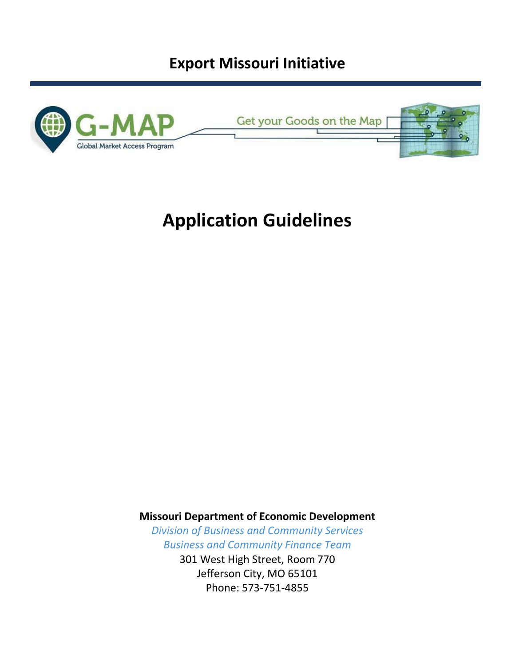# **Export Missouri Initiative**



# **Application Guidelines**

**Missouri Department of Economic Development** 

*Division of Business and Community Services Business and Community Finance Team* 301 West High Street, Room 770 Jefferson City, MO 65101 Phone: 573-751-4855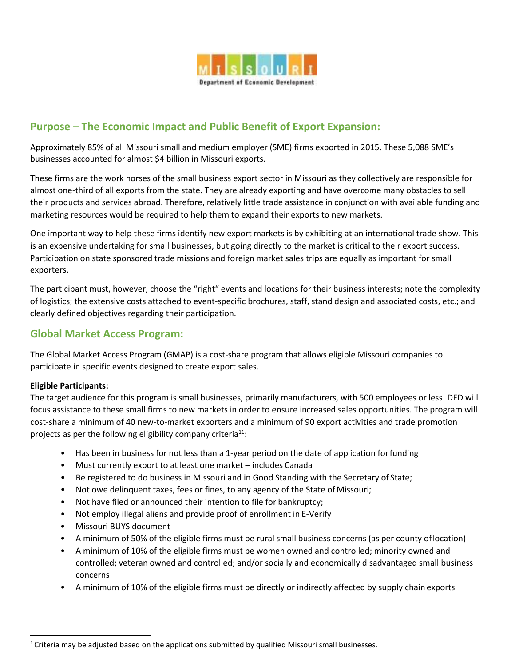

# **Purpose – The Economic Impact and Public Benefit of Export Expansion:**

Approximately 85% of all Missouri small and medium employer (SME) firms exported in 2015. These 5,088 SME's businesses accounted for almost \$4 billion in Missouri exports.

These firms are the work horses of the small business export sector in Missouri as they collectively are responsible for almost one-third of all exports from the state. They are already exporting and have overcome many obstacles to sell their products and services abroad. Therefore, relatively little trade assistance in conjunction with available funding and marketing resources would be required to help them to expand their exports to new markets.

One important way to help these firms identify new export markets is by exhibiting at an international trade show. This is an expensive undertaking for small businesses, but going directly to the market is critical to their export success. Participation on state sponsored trade missions and foreign market sales trips are equally as important for small exporters.

The participant must, however, choose the "right" events and locations for their business interests; note the complexity of logistics; the extensive costs attached to event-specific brochures, staff, stand design and associated costs, etc.; and clearly defined objectives regarding their participation.

# **Global Market Access Program:**

The Global Market Access Program (GMAP) is a cost-share program that allows eligible Missouri companies to participate in specific events designed to create export sales.

#### **Eligible Participants:**

The target audience for this program is small businesses, primarily manufacturers, with 500 employees or less. DED will focus assistance to these small firms to new markets in order to ensure increased sales opportunities. The program will cost-share a minimum of 40 new-to-market exporters and a minimum of 90 export activities and trade promotion projects as per the following eligibility company criteria<sup>11</sup>:

- Has been in business for not less than a 1-year period on the date of application for funding
- Must currently export to at least one market includes Canada
- Be registered to do business in Missouri and in Good Standing with the Secretary of State;
- Not owe delinquent taxes, fees or fines, to any agency of the State of Missouri;
- Not have filed or announced their intention to file for bankruptcy;
- Not employ illegal aliens and provide proof of enrollment in E-Verify
- Missouri BUYS document
- A minimum of 50% of the eligible firms must be rural small business concerns (as per county oflocation)
- A minimum of 10% of the eligible firms must be women owned and controlled; minority owned and controlled; veteran owned and controlled; and/or socially and economically disadvantaged small business concerns
- A minimum of 10% of the eligible firms must be directly or indirectly affected by supply chain exports

<sup>&</sup>lt;sup>1</sup> Criteria may be adjusted based on the applications submitted by qualified Missouri small businesses.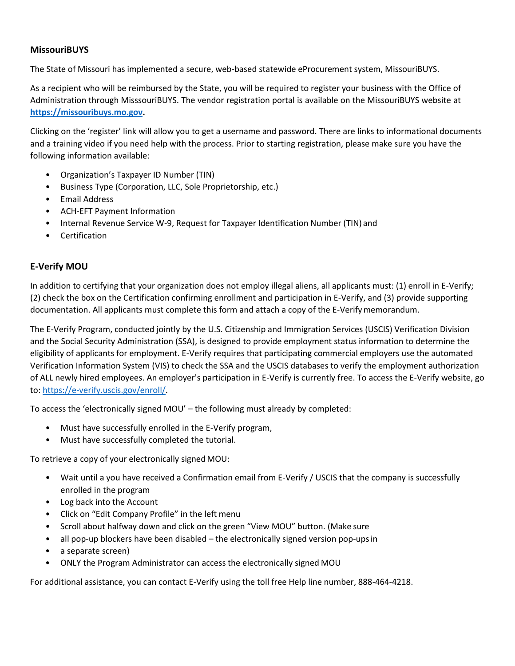#### **MissouriBUYS**

The State of Missouri has implemented a secure, web-based statewide eProcurement system, MissouriBUYS.

As a recipient who will be reimbursed by the State, you will be required to register your business with the Office of Administration through MisssouriBUYS. The vendor registration portal is available on the MissouriBUYS website at **https://missouribuys.mo.gov.**

Clicking on the 'register' link will allow you to get a username and password. There are links to informational documents and a training video if you need help with the process. Prior to starting registration, please make sure you have the following information available:

- Organization's Taxpayer ID Number (TIN)
- Business Type (Corporation, LLC, Sole Proprietorship, etc.)
- Email Address
- ACH-EFT Payment Information
- Internal Revenue Service W-9, Request for Taxpayer Identification Number (TIN) and
- **Certification**

## **E-Verify MOU**

In addition to certifying that your organization does not employ illegal aliens, all applicants must: (1) enroll in E-Verify; (2) check the box on the Certification confirming enrollment and participation in E-Verify, and (3) provide supporting documentation. All applicants must complete this form and attach a copy of the E-Verifymemorandum.

The E-Verify Program, conducted jointly by the U.S. Citizenship and Immigration Services (USCIS) Verification Division and the Social Security Administration (SSA), is designed to provide employment status information to determine the eligibility of applicants for employment. E-Verify requires that participating commercial employers use the automated Verification Information System (VIS) to check the SSA and the USCIS databases to verify the employment authorization of ALL newly hired employees. An employer's participation in E-Verify is currently free. To access the E-Verify website, go to: https://e-verify.uscis.gov/enroll/.

To access the 'electronically signed MOU' – the following must already by completed:

- Must have successfully enrolled in the E-Verify program,
- Must have successfully completed the tutorial.

To retrieve a copy of your electronically signed MOU:

- Wait until a you have received a Confirmation email from E-Verify / USCIS that the company is successfully enrolled in the program
- Log back into the Account
- Click on "Edit Company Profile" in the left menu
- Scroll about halfway down and click on the green "View MOU" button. (Make sure
- all pop-up blockers have been disabled the electronically signed version pop-ups in
- a separate screen)
- ONLY the Program Administrator can access the electronically signed MOU

For additional assistance, you can contact E-Verify using the toll free Help line number, 888-464-4218.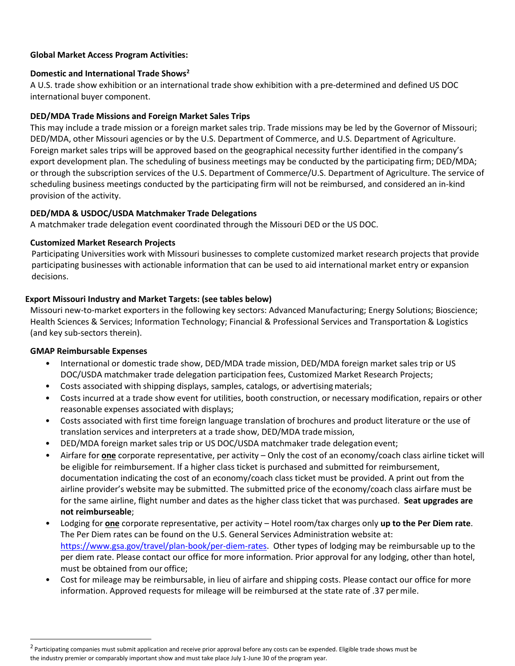#### **Global Market Access Program Activities:**

#### **Domestic and International Trade Shows<sup>2</sup>**

A U.S. trade show exhibition or an international trade show exhibition with a pre-determined and defined US DOC international buyer component.

#### **DED/MDA Trade Missions and Foreign Market Sales Trips**

This may include a trade mission or a foreign market sales trip. Trade missions may be led by the Governor of Missouri; DED/MDA, other Missouri agencies or by the U.S. Department of Commerce, and U.S. Department of Agriculture. Foreign market sales trips will be approved based on the geographical necessity further identified in the company's export development plan. The scheduling of business meetings may be conducted by the participating firm; DED/MDA; or through the subscription services of the U.S. Department of Commerce/U.S. Department of Agriculture. The service of scheduling business meetings conducted by the participating firm will not be reimbursed, and considered an in-kind provision of the activity.

#### **DED/MDA & USDOC/USDA Matchmaker Trade Delegations**

A matchmaker trade delegation event coordinated through the Missouri DED or the US DOC.

#### **Customized Market Research Projects**

Participating Universities work with Missouri businesses to complete customized market research projects that provide participating businesses with actionable information that can be used to aid international market entry or expansion decisions.

#### **Export Missouri Industry and Market Targets: (see tables below)**

Missouri new-to-market exporters in the following key sectors: Advanced Manufacturing; Energy Solutions; Bioscience; Health Sciences & Services; Information Technology; Financial & Professional Services and Transportation & Logistics (and key sub-sectors therein).

#### **GMAP Reimbursable Expenses**

- International or domestic trade show, DED/MDA trade mission, DED/MDA foreign market sales trip or US DOC/USDA matchmaker trade delegation participation fees, Customized Market Research Projects;
- Costs associated with shipping displays, samples, catalogs, or advertising materials;
- Costs incurred at a trade show event for utilities, booth construction, or necessary modification, repairs or other reasonable expenses associated with displays;
- Costs associated with first time foreign language translation of brochures and product literature or the use of translation services and interpreters at a trade show, DED/MDA trademission,
- DED/MDA foreign market sales trip or US DOC/USDA matchmaker trade delegation event;
- Airfare for **one** corporate representative, per activity Only the cost of an economy/coach class airline ticket will be eligible for reimbursement. If a higher class ticket is purchased and submitted for reimbursement, documentation indicating the cost of an economy/coach class ticket must be provided. A print out from the airline provider's website may be submitted. The submitted price of the economy/coach class airfare must be for the same airline, flight number and dates as the higher class ticket that was purchased. **Seat upgrades are not reimburseable**;
- Lodging for **one** corporate representative, per activity Hotel room/tax charges only **up to the Per Diem rate**. The Per Diem rates can be found on the U.S. General Services Administration website at: [https://www.gsa.gov/travel/plan-book/per-diem-rates.](https://www.gsa.gov/travel/plan-book/per-diem-rates) Other types of lodging may be reimbursable up to the per diem rate. Please contact our office for more information. Prior approval for any lodging, other than hotel, must be obtained from our office;
- Cost for mileage may be reimbursable, in lieu of airfare and shipping costs. Please contact our office for more information. Approved requests for mileage will be reimbursed at the state rate of .37 permile.

<sup>&</sup>lt;sup>2</sup> Participating companies must submit application and receive prior approval before any costs can be expended. Eligible trade shows must be the industry premier or comparably important show and must take place July 1-June 30 of the program year.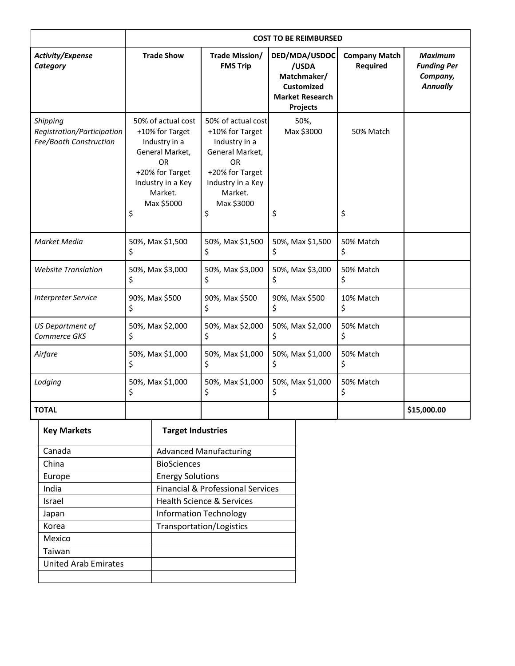|                                                                  | <b>COST TO BE REIMBURSED</b>                                                                                                                           |                                                                                                                                                        |                                                                                                  |                                  |                                                                     |
|------------------------------------------------------------------|--------------------------------------------------------------------------------------------------------------------------------------------------------|--------------------------------------------------------------------------------------------------------------------------------------------------------|--------------------------------------------------------------------------------------------------|----------------------------------|---------------------------------------------------------------------|
| <b>Activity/Expense</b><br>Category                              | <b>Trade Show</b>                                                                                                                                      | Trade Mission/<br><b>FMS Trip</b>                                                                                                                      | DED/MDA/USDOC<br>/USDA<br>Matchmaker/<br><b>Customized</b><br><b>Market Research</b><br>Projects | <b>Company Match</b><br>Required | <b>Maximum</b><br><b>Funding Per</b><br>Company,<br><b>Annually</b> |
| Shipping<br>Registration/Participation<br>Fee/Booth Construction | 50% of actual cost<br>+10% for Target<br>Industry in a<br>General Market,<br>OR<br>+20% for Target<br>Industry in a Key<br>Market.<br>Max \$5000<br>\$ | 50% of actual cost<br>+10% for Target<br>Industry in a<br>General Market,<br>OR<br>+20% for Target<br>Industry in a Key<br>Market.<br>Max \$3000<br>\$ | 50%,<br>Max \$3000<br>\$                                                                         | 50% Match<br>\$                  |                                                                     |
| Market Media                                                     | 50%, Max \$1,500<br>\$                                                                                                                                 | 50%, Max \$1,500<br>\$                                                                                                                                 | 50%, Max \$1,500<br>Ŝ.                                                                           | 50% Match<br>\$                  |                                                                     |
| <b>Website Translation</b>                                       | 50%, Max \$3,000<br>\$                                                                                                                                 | 50%, Max \$3,000<br>\$                                                                                                                                 | 50%, Max \$3,000<br>S                                                                            | 50% Match<br>\$                  |                                                                     |
| <b>Interpreter Service</b>                                       | 90%, Max \$500<br>Ś.                                                                                                                                   | 90%, Max \$500<br>Ś                                                                                                                                    | 90%, Max \$500<br>S                                                                              | 10% Match<br>Ś.                  |                                                                     |
| <b>US Department of</b><br>Commerce GKS                          | 50%, Max \$2,000<br>\$                                                                                                                                 | 50%, Max \$2,000<br>\$                                                                                                                                 | 50%, Max \$2,000<br>\$                                                                           | 50% Match<br>\$                  |                                                                     |
| Airfare                                                          | 50%, Max \$1,000<br>\$                                                                                                                                 | 50%, Max \$1,000<br>\$                                                                                                                                 | 50%, Max \$1,000<br>\$                                                                           | 50% Match<br>\$                  |                                                                     |
| Lodging                                                          | 50%, Max \$1,000<br>\$                                                                                                                                 | 50%, Max \$1,000<br>\$                                                                                                                                 | 50%, Max \$1,000<br>Ś                                                                            | 50% Match<br>Ś                   |                                                                     |
| <b>TOTAL</b>                                                     |                                                                                                                                                        |                                                                                                                                                        |                                                                                                  |                                  | \$15,000.00                                                         |

| <b>Key Markets</b>          | <b>Target Industries</b>                     |
|-----------------------------|----------------------------------------------|
| Canada                      | <b>Advanced Manufacturing</b>                |
| China                       | <b>BioSciences</b>                           |
| Europe                      | <b>Energy Solutions</b>                      |
| India                       | <b>Financial &amp; Professional Services</b> |
| Israel                      | <b>Health Science &amp; Services</b>         |
| Japan                       | <b>Information Technology</b>                |
| Korea                       | Transportation/Logistics                     |
| Mexico                      |                                              |
| Taiwan                      |                                              |
| <b>United Arab Emirates</b> |                                              |
|                             |                                              |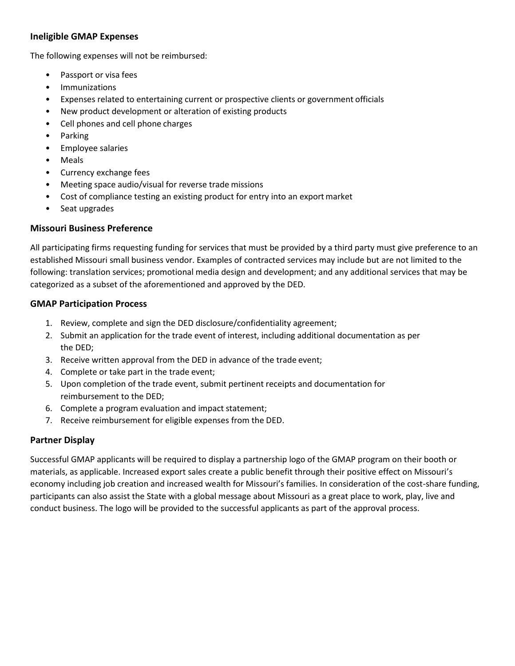#### **Ineligible GMAP Expenses**

The following expenses will not be reimbursed:

- Passport or visa fees
- Immunizations
- Expenses related to entertaining current or prospective clients or government officials
- New product development or alteration of existing products
- Cell phones and cell phone charges
- Parking
- Employee salaries
- Meals
- Currency exchange fees
- Meeting space audio/visual for reverse trade missions
- Cost of compliance testing an existing product for entry into an export market
- Seat upgrades

#### **Missouri Business Preference**

All participating firms requesting funding for services that must be provided by a third party must give preference to an established Missouri small business vendor. Examples of contracted services may include but are not limited to the following: translation services; promotional media design and development; and any additional services that may be categorized as a subset of the aforementioned and approved by the DED.

#### **GMAP Participation Process**

- 1. Review, complete and sign the DED disclosure/confidentiality agreement;
- 2. Submit an application for the trade event of interest, including additional documentation as per the DED;
- 3. Receive written approval from the DED in advance of the trade event;
- 4. Complete or take part in the trade event;
- 5. Upon completion of the trade event, submit pertinent receipts and documentation for reimbursement to the DED;
- 6. Complete a program evaluation and impact statement;
- 7. Receive reimbursement for eligible expenses from the DED.

#### **Partner Display**

Successful GMAP applicants will be required to display a partnership logo of the GMAP program on their booth or materials, as applicable. Increased export sales create a public benefit through their positive effect on Missouri's economy including job creation and increased wealth for Missouri's families. In consideration of the cost-share funding, participants can also assist the State with a global message about Missouri as a great place to work, play, live and conduct business. The logo will be provided to the successful applicants as part of the approval process.